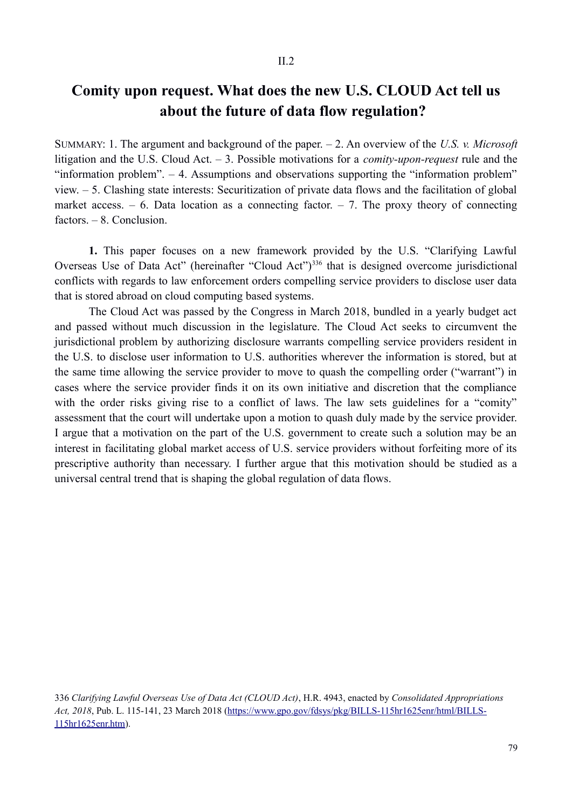## **Comity upon request. What does the new U.S. CLOUD Act tell us about the future of data flow regulation?**

SUMMARY: 1. The argument and background of the paper. – 2. An overview of the *U.S. v. Microsoft* litigation and the U.S. Cloud Act. – 3. Possible motivations for a *comity-upon-request* rule and the "information problem". – 4. Assumptions and observations supporting the "information problem" view. – 5. Clashing state interests: Securitization of private data flows and the facilitation of global market access.  $-6$ . Data location as a connecting factor.  $-7$ . The proxy theory of connecting factors. – 8. Conclusion.

**1.** This paper focuses on a new framework provided by the U.S. "Clarifying Lawful Overseas Use of Data Act" (hereinafter "Cloud Act")<sup>336</sup> that is designed overcome jurisdictional conflicts with regards to law enforcement orders compelling service providers to disclose user data that is stored abroad on cloud computing based systems.

The Cloud Act was passed by the Congress in March 2018, bundled in a yearly budget act and passed without much discussion in the legislature. The Cloud Act seeks to circumvent the jurisdictional problem by authorizing disclosure warrants compelling service providers resident in the U.S. to disclose user information to U.S. authorities wherever the information is stored, but at the same time allowing the service provider to move to quash the compelling order ("warrant") in cases where the service provider finds it on its own initiative and discretion that the compliance with the order risks giving rise to a conflict of laws. The law sets guidelines for a "comity" assessment that the court will undertake upon a motion to quash duly made by the service provider. I argue that a motivation on the part of the U.S. government to create such a solution may be an interest in facilitating global market access of U.S. service providers without forfeiting more of its prescriptive authority than necessary. I further argue that this motivation should be studied as a universal central trend that is shaping the global regulation of data flows.

336 *Clarifying Lawful Overseas Use of Data Act (CLOUD Act)*, H.R. 4943, enacted by *Consolidated Appropriations Act, 2018*, Pub. L. 115-141, 23 March 2018 (https://www.gpo.gov/fdsys/pkg/BILLS-115hr1625enr/html/BILLS-115hr1625enr.htm).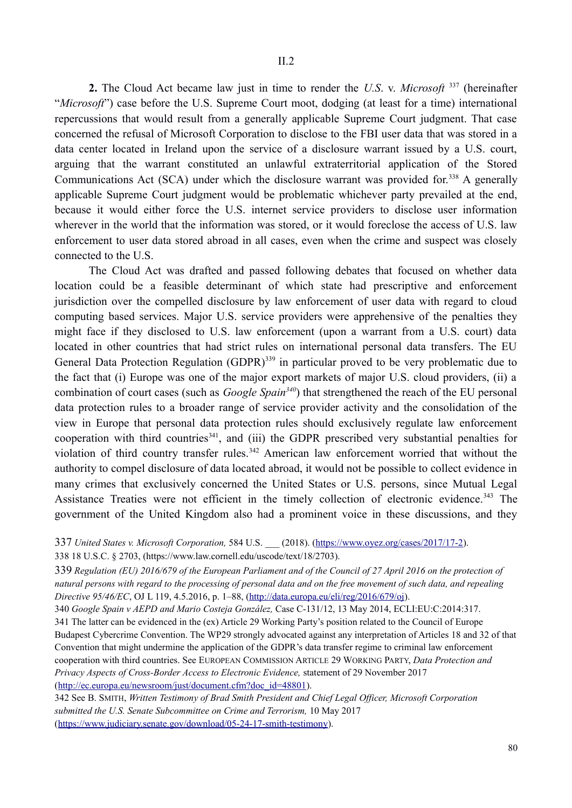**2.** The Cloud Act became law just in time to render the *U.S*. v. *Microsoft* 337 (hereinafter "*Microsoft*") case before the U.S. Supreme Court moot, dodging (at least for a time) international repercussions that would result from a generally applicable Supreme Court judgment. That case concerned the refusal of Microsoft Corporation to disclose to the FBI user data that was stored in a data center located in Ireland upon the service of a disclosure warrant issued by a U.S. court, arguing that the warrant constituted an unlawful extraterritorial application of the Stored Communications Act (SCA) under which the disclosure warrant was provided for.<sup>338</sup> A generally applicable Supreme Court judgment would be problematic whichever party prevailed at the end, because it would either force the U.S. internet service providers to disclose user information wherever in the world that the information was stored, or it would foreclose the access of U.S. law enforcement to user data stored abroad in all cases, even when the crime and suspect was closely connected to the U.S.

The Cloud Act was drafted and passed following debates that focused on whether data location could be a feasible determinant of which state had prescriptive and enforcement jurisdiction over the compelled disclosure by law enforcement of user data with regard to cloud computing based services. Major U.S. service providers were apprehensive of the penalties they might face if they disclosed to U.S. law enforcement (upon a warrant from a U.S. court) data located in other countries that had strict rules on international personal data transfers. The EU General Data Protection Regulation (GDPR)<sup>339</sup> in particular proved to be very problematic due to the fact that (i) Europe was one of the major export markets of major U.S. cloud providers, (ii) a combination of court cases (such as *Google Spain340*) that strengthened the reach of the EU personal data protection rules to a broader range of service provider activity and the consolidation of the view in Europe that personal data protection rules should exclusively regulate law enforcement cooperation with third countries<sup>341</sup>, and (iii) the GDPR prescribed very substantial penalties for violation of third country transfer rules.<sup>342</sup> American law enforcement worried that without the authority to compel disclosure of data located abroad, it would not be possible to collect evidence in many crimes that exclusively concerned the United States or U.S. persons, since Mutual Legal Assistance Treaties were not efficient in the timely collection of electronic evidence.<sup>343</sup> The government of the United Kingdom also had a prominent voice in these discussions, and they

337 *United States v. Microsoft Corporation,* 584 U.S. \_\_\_ (2018). (https://www.oyez.org/cases/2017/17-2). 338 18 U.S.C. § 2703, (https://www.law.cornell.edu/uscode/text/18/2703).

339 *Regulation (EU) 2016/679 of the European Parliament and of the Council of 27 April 2016 on the protection of natural persons with regard to the processing of personal data and on the free movement of such data, and repealing Directive 95/46/EC*, OJ L 119, 4.5.2016, p. 1–88, (http://data.europa.eu/eli/reg/2016/679/oj).

340 *Google Spain v AEPD and Mario Costeja González,* Case C-131/12, 13 May 2014, ECLI:EU:C:2014:317.

341 The latter can be evidenced in the (ex) Article 29 Working Party's position related to the Council of Europe Budapest Cybercrime Convention. The WP29 strongly advocated against any interpretation of Articles 18 and 32 of that Convention that might undermine the application of the GDPR's data transfer regime to criminal law enforcement cooperation with third countries. See EUROPEAN COMMISSION ARTICLE 29 WORKING PARTY, *Data Protection and Privacy Aspects of Cross-Border Access to Electronic Evidence,* statement of 29 November 2017 (http://ec.europa.eu/newsroom/just/document.cfm?doc\_id=48801).

342 See B. SMITH, *Written Testimony of Brad Smith President and Chief Legal Officer, Microsoft Corporation submitted the U.S. Senate Subcommittee on Crime and Terrorism,* 10 May 2017 (https://www.judiciary.senate.gov/download/05-24-17-smith-testimony).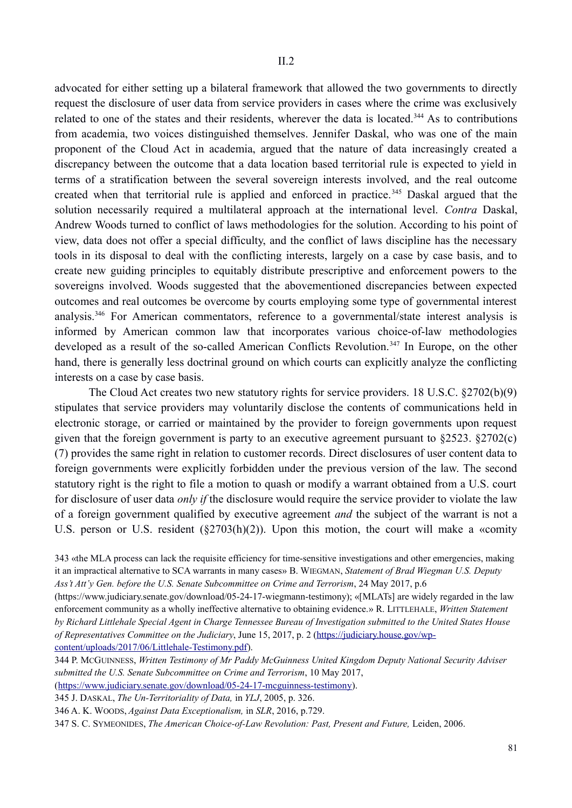advocated for either setting up a bilateral framework that allowed the two governments to directly request the disclosure of user data from service providers in cases where the crime was exclusively related to one of the states and their residents, wherever the data is located.<sup>344</sup> As to contributions from academia, two voices distinguished themselves. Jennifer Daskal, who was one of the main proponent of the Cloud Act in academia, argued that the nature of data increasingly created a discrepancy between the outcome that a data location based territorial rule is expected to yield in terms of a stratification between the several sovereign interests involved, and the real outcome created when that territorial rule is applied and enforced in practice.<sup>345</sup> Daskal argued that the solution necessarily required a multilateral approach at the international level. *Contra* Daskal, Andrew Woods turned to conflict of laws methodologies for the solution. According to his point of view, data does not offer a special difficulty, and the conflict of laws discipline has the necessary tools in its disposal to deal with the conflicting interests, largely on a case by case basis, and to create new guiding principles to equitably distribute prescriptive and enforcement powers to the sovereigns involved. Woods suggested that the abovementioned discrepancies between expected outcomes and real outcomes be overcome by courts employing some type of governmental interest analysis.346 For American commentators, reference to a governmental/state interest analysis is informed by American common law that incorporates various choice-of-law methodologies developed as a result of the so-called American Conflicts Revolution.<sup>347</sup> In Europe, on the other hand, there is generally less doctrinal ground on which courts can explicitly analyze the conflicting interests on a case by case basis.

The Cloud Act creates two new statutory rights for service providers. 18 U.S.C. §2702(b)(9) stipulates that service providers may voluntarily disclose the contents of communications held in electronic storage, or carried or maintained by the provider to foreign governments upon request given that the foreign government is party to an executive agreement pursuant to §2523. §2702(c) (7) provides the same right in relation to customer records. Direct disclosures of user content data to foreign governments were explicitly forbidden under the previous version of the law. The second statutory right is the right to file a motion to quash or modify a warrant obtained from a U.S. court for disclosure of user data *only if* the disclosure would require the service provider to violate the law of a foreign government qualified by executive agreement *and* the subject of the warrant is not a U.S. person or U.S. resident (§2703(h)(2)). Upon this motion, the court will make a «comity

(https://www.judiciary.senate.gov/download/05-24-17-wiegmann-testimony); «[MLATs] are widely regarded in the law enforcement community as a wholly ineffective alternative to obtaining evidence.» R. LITTLEHALE, *Written Statement by Richard Littlehale Special Agent in Charge Tennessee Bureau of Investigation submitted to the United States House of Representatives Committee on the Judiciary*, June 15, 2017, p. 2 (https://judiciary.house.gov/wpcontent/uploads/2017/06/Littlehale-Testimony.pdf).

344 P. MCGUINNESS, *Written Testimony of Mr Paddy McGuinness United Kingdom Deputy National Security Adviser submitted the U.S. Senate Subcommittee on Crime and Terrorism*, 10 May 2017,

(https://www.judiciary.senate.gov/download/05-24-17-mcguinness-testimony).

345 J. DASKAL, *The Un-Territoriality of Data,* in *YLJ*, 2005, p. 326.

346 A. K. WOODS, *Against Data Exceptionalism,* in *SLR*, 2016, p.729.

347 S. C. SYMEONIDES, *The American Choice-of-Law Revolution: Past, Present and Future,* Leiden, 2006.

<sup>343 «</sup>the MLA process can lack the requisite efficiency for time-sensitive investigations and other emergencies, making it an impractical alternative to SCA warrants in many cases» B. WIEGMAN, *Statement of Brad Wiegman U.S. Deputy Ass't Att'y Gen. before the U.S. Senate Subcommittee on Crime and Terrorism*, 24 May 2017, p.6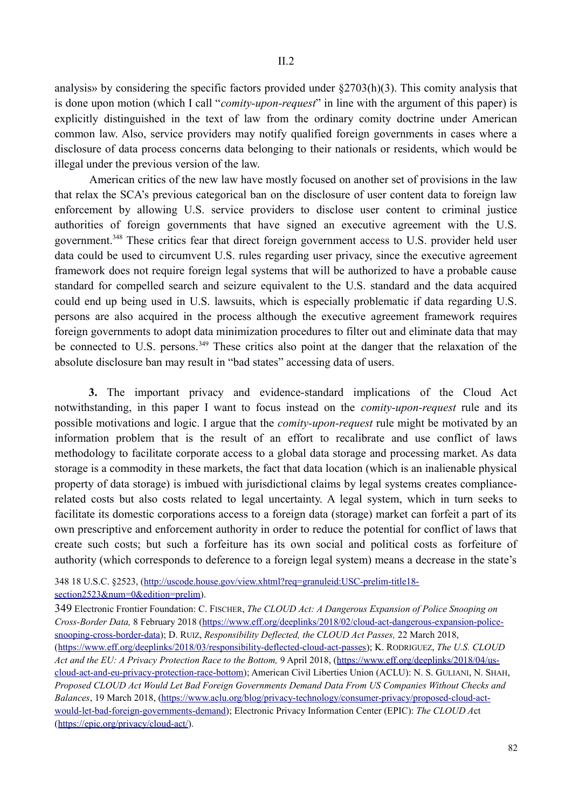analysis» by considering the specific factors provided under §2703(h)(3). This comity analysis that is done upon motion (which I call "*comity-upon-request*" in line with the argument of this paper) is explicitly distinguished in the text of law from the ordinary comity doctrine under American common law. Also, service providers may notify qualified foreign governments in cases where a disclosure of data process concerns data belonging to their nationals or residents, which would be illegal under the previous version of the law.

American critics of the new law have mostly focused on another set of provisions in the law that relax the SCA's previous categorical ban on the disclosure of user content data to foreign law enforcement by allowing U.S. service providers to disclose user content to criminal justice authorities of foreign governments that have signed an executive agreement with the U.S. government.348 These critics fear that direct foreign government access to U.S. provider held user data could be used to circumvent U.S. rules regarding user privacy, since the executive agreement framework does not require foreign legal systems that will be authorized to have a probable cause standard for compelled search and seizure equivalent to the U.S. standard and the data acquired could end up being used in U.S. lawsuits, which is especially problematic if data regarding U.S. persons are also acquired in the process although the executive agreement framework requires foreign governments to adopt data minimization procedures to filter out and eliminate data that may be connected to U.S. persons.<sup>349</sup> These critics also point at the danger that the relaxation of the absolute disclosure ban may result in "bad states" accessing data of users.

**3.** The important privacy and evidence-standard implications of the Cloud Act notwithstanding, in this paper I want to focus instead on the *comity-upon-request* rule and its possible motivations and logic. I argue that the *comity-upon-request* rule might be motivated by an information problem that is the result of an effort to recalibrate and use conflict of laws methodology to facilitate corporate access to a global data storage and processing market. As data storage is a commodity in these markets, the fact that data location (which is an inalienable physical property of data storage) is imbued with jurisdictional claims by legal systems creates compliancerelated costs but also costs related to legal uncertainty. A legal system, which in turn seeks to facilitate its domestic corporations access to a foreign data (storage) market can forfeit a part of its own prescriptive and enforcement authority in order to reduce the potential for conflict of laws that create such costs; but such a forfeiture has its own social and political costs as forfeiture of authority (which corresponds to deference to a foreign legal system) means a decrease in the state's

<sup>348 18</sup> U.S.C. §2523, (http://uscode.house.gov/view.xhtml?req=granuleid:USC-prelim-title18 section2523&num=0&edition=prelim).

<sup>349</sup> Electronic Frontier Foundation: C. FISCHER, *The CLOUD Act: A Dangerous Expansion of Police Snooping on Cross-Border Data,* 8 February 2018 (https://www.eff.org/deeplinks/2018/02/cloud-act-dangerous-expansion-policesnooping-cross-border-data); D. RUIZ, *Responsibility Deflected, the CLOUD Act Passes,* 22 March 2018, (https://www.eff.org/deeplinks/2018/03/responsibility-deflected-cloud-act-passes); K. RODRIGUEZ, *The U.S. CLOUD*  Act and the EU: A Privacy Protection Race to the Bottom, 9 April 2018, (https://www.eff.org/deeplinks/2018/04/uscloud-act-and-eu-privacy-protection-race-bottom); American Civil Liberties Union (ACLU): N. S. GULIANI, N. SHAH, *Proposed CLOUD Act Would Let Bad Foreign Governments Demand Data From US Companies Without Checks and Balances*, 19 March 2018, (https://www.aclu.org/blog/privacy-technology/consumer-privacy/proposed-cloud-actwould-let-bad-foreign-governments-demand); Electronic Privacy Information Center (EPIC): *The CLOUD A*ct (https://epic.org/privacy/cloud-act/).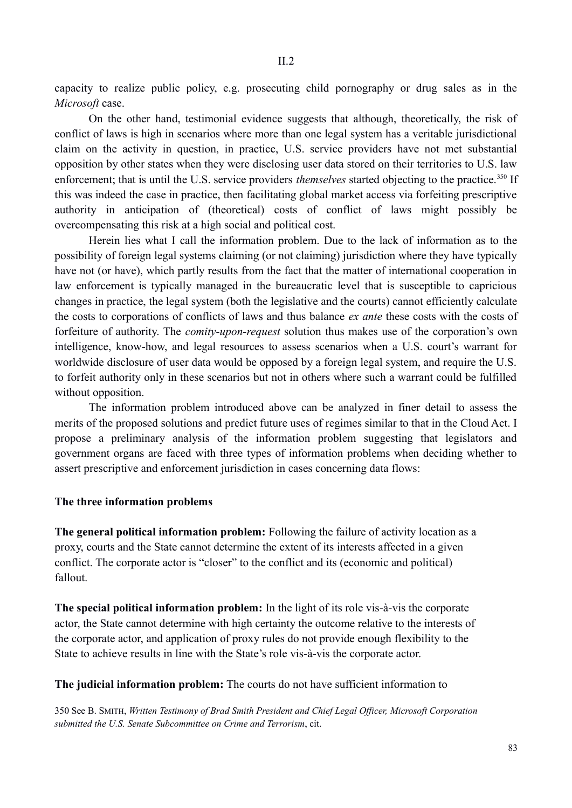capacity to realize public policy, e.g. prosecuting child pornography or drug sales as in the *Microsoft* case.

On the other hand, testimonial evidence suggests that although, theoretically, the risk of conflict of laws is high in scenarios where more than one legal system has a veritable jurisdictional claim on the activity in question, in practice, U.S. service providers have not met substantial opposition by other states when they were disclosing user data stored on their territories to U.S. law enforcement; that is until the U.S. service providers *themselves* started objecting to the practice.<sup>350</sup> If this was indeed the case in practice, then facilitating global market access via forfeiting prescriptive authority in anticipation of (theoretical) costs of conflict of laws might possibly be overcompensating this risk at a high social and political cost.

Herein lies what I call the information problem. Due to the lack of information as to the possibility of foreign legal systems claiming (or not claiming) jurisdiction where they have typically have not (or have), which partly results from the fact that the matter of international cooperation in law enforcement is typically managed in the bureaucratic level that is susceptible to capricious changes in practice, the legal system (both the legislative and the courts) cannot efficiently calculate the costs to corporations of conflicts of laws and thus balance *ex ante* these costs with the costs of forfeiture of authority. The *comity-upon-request* solution thus makes use of the corporation's own intelligence, know-how, and legal resources to assess scenarios when a U.S. court's warrant for worldwide disclosure of user data would be opposed by a foreign legal system, and require the U.S. to forfeit authority only in these scenarios but not in others where such a warrant could be fulfilled without opposition.

The information problem introduced above can be analyzed in finer detail to assess the merits of the proposed solutions and predict future uses of regimes similar to that in the Cloud Act. I propose a preliminary analysis of the information problem suggesting that legislators and government organs are faced with three types of information problems when deciding whether to assert prescriptive and enforcement jurisdiction in cases concerning data flows:

## **The three information problems**

**The general political information problem:** Following the failure of activity location as a proxy, courts and the State cannot determine the extent of its interests affected in a given conflict. The corporate actor is "closer" to the conflict and its (economic and political) fallout.

**The special political information problem:** In the light of its role vis-à-vis the corporate actor, the State cannot determine with high certainty the outcome relative to the interests of the corporate actor, and application of proxy rules do not provide enough flexibility to the State to achieve results in line with the State's role vis-à-vis the corporate actor.

## **The judicial information problem:** The courts do not have sufficient information to

350 See B. SMITH, *Written Testimony of Brad Smith President and Chief Legal Officer, Microsoft Corporation submitted the U.S. Senate Subcommittee on Crime and Terrorism*, cit.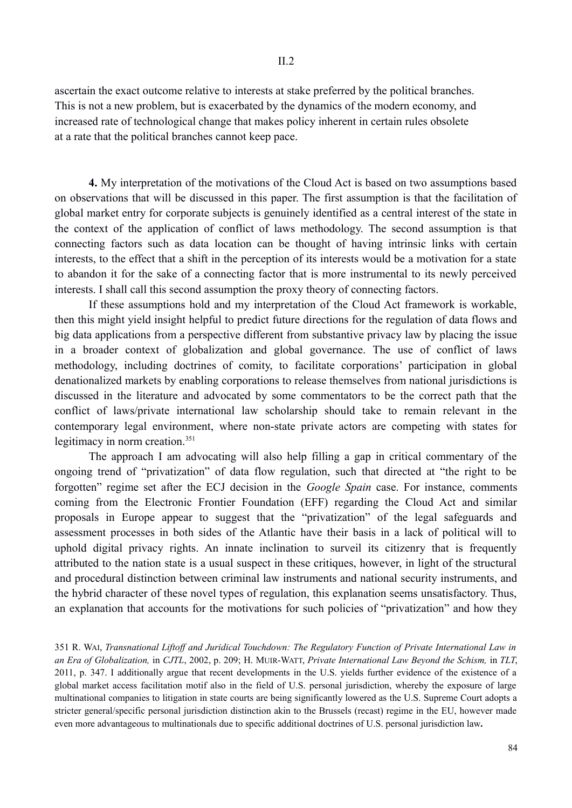ascertain the exact outcome relative to interests at stake preferred by the political branches. This is not a new problem, but is exacerbated by the dynamics of the modern economy, and increased rate of technological change that makes policy inherent in certain rules obsolete at a rate that the political branches cannot keep pace.

**4.** My interpretation of the motivations of the Cloud Act is based on two assumptions based on observations that will be discussed in this paper. The first assumption is that the facilitation of global market entry for corporate subjects is genuinely identified as a central interest of the state in the context of the application of conflict of laws methodology. The second assumption is that connecting factors such as data location can be thought of having intrinsic links with certain interests, to the effect that a shift in the perception of its interests would be a motivation for a state to abandon it for the sake of a connecting factor that is more instrumental to its newly perceived interests. I shall call this second assumption the proxy theory of connecting factors.

If these assumptions hold and my interpretation of the Cloud Act framework is workable, then this might yield insight helpful to predict future directions for the regulation of data flows and big data applications from a perspective different from substantive privacy law by placing the issue in a broader context of globalization and global governance. The use of conflict of laws methodology, including doctrines of comity, to facilitate corporations' participation in global denationalized markets by enabling corporations to release themselves from national jurisdictions is discussed in the literature and advocated by some commentators to be the correct path that the conflict of laws/private international law scholarship should take to remain relevant in the contemporary legal environment, where non-state private actors are competing with states for legitimacy in norm creation.<sup>351</sup>

The approach I am advocating will also help filling a gap in critical commentary of the ongoing trend of "privatization" of data flow regulation, such that directed at "the right to be forgotten" regime set after the ECJ decision in the *Google Spain* case. For instance, comments coming from the Electronic Frontier Foundation (EFF) regarding the Cloud Act and similar proposals in Europe appear to suggest that the "privatization" of the legal safeguards and assessment processes in both sides of the Atlantic have their basis in a lack of political will to uphold digital privacy rights. An innate inclination to surveil its citizenry that is frequently attributed to the nation state is a usual suspect in these critiques, however, in light of the structural and procedural distinction between criminal law instruments and national security instruments, and the hybrid character of these novel types of regulation, this explanation seems unsatisfactory. Thus, an explanation that accounts for the motivations for such policies of "privatization" and how they

351 R. WAI, *Transnational Liftoff and Juridical Touchdown: The Regulatory Function of Private International Law in an Era of Globalization,* in *CJTL*, 2002, p. 209; H. MUIR-WATT, *Private International Law Beyond the Schism,* in *TLT*, 2011, p. 347. I additionally argue that recent developments in the U.S. yields further evidence of the existence of a global market access facilitation motif also in the field of U.S. personal jurisdiction, whereby the exposure of large multinational companies to litigation in state courts are being significantly lowered as the U.S. Supreme Court adopts a stricter general/specific personal jurisdiction distinction akin to the Brussels (recast) regime in the EU, however made even more advantageous to multinationals due to specific additional doctrines of U.S. personal jurisdiction law**.**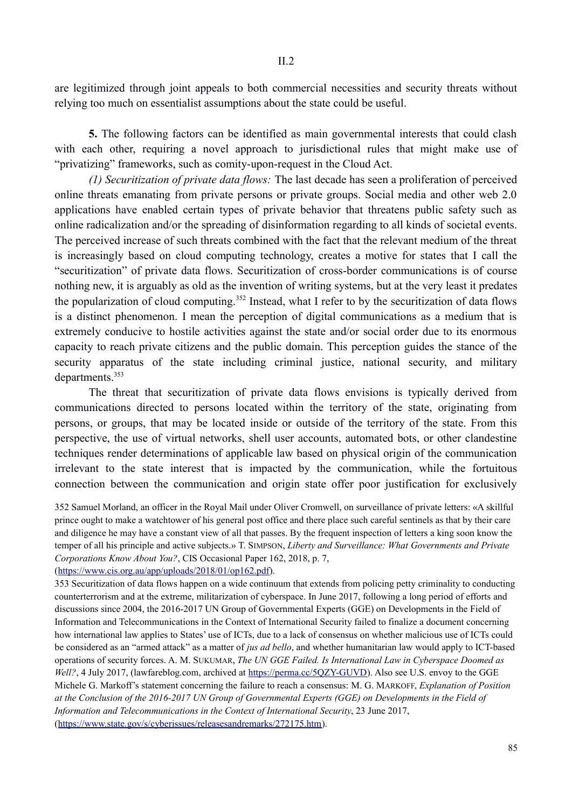are legitimized through joint appeals to both commercial necessities and security threats without relying too much on essentialist assumptions about the state could be useful.

**5.** The following factors can be identified as main governmental interests that could clash with each other, requiring a novel approach to jurisdictional rules that might make use of "privatizing" frameworks, such as comity-upon-request in the Cloud Act.

*(1) Securitization of private data flows:* The last decade has seen a proliferation of perceived online threats emanating from private persons or private groups. Social media and other web 2.0 applications have enabled certain types of private behavior that threatens public safety such as online radicalization and/or the spreading of disinformation regarding to all kinds of societal events. The perceived increase of such threats combined with the fact that the relevant medium of the threat is increasingly based on cloud computing technology, creates a motive for states that I call the "securitization" of private data flows. Securitization of cross-border communications is of course nothing new, it is arguably as old as the invention of writing systems, but at the very least it predates the popularization of cloud computing.<sup>352</sup> Instead, what I refer to by the securitization of data flows is a distinct phenomenon. I mean the perception of digital communications as a medium that is extremely conducive to hostile activities against the state and/or social order due to its enormous capacity to reach private citizens and the public domain. This perception guides the stance of the security apparatus of the state including criminal justice, national security, and military departments.<sup>353</sup>

The threat that securitization of private data flows envisions is typically derived from communications directed to persons located within the territory of the state, originating from persons, or groups, that may be located inside or outside of the territory of the state. From this perspective, the use of virtual networks, shell user accounts, automated bots, or other clandestine techniques render determinations of applicable law based on physical origin of the communication irrelevant to the state interest that is impacted by the communication, while the fortuitous connection between the communication and origin state offer poor justification for exclusively

352 Samuel Morland, an officer in the Royal Mail under Oliver Cromwell, on surveillance of private letters: «A skillful prince ought to make a watchtower of his general post office and there place such careful sentinels as that by their care and diligence he may have a constant view of all that passes. By the frequent inspection of letters a king soon know the temper of all his principle and active subjects.» T. SIMPSON, *Liberty and Surveillance: What Governments and Private Corporations Know About You?*, CIS Occasional Paper 162, 2018, p. 7,

```
(https://www.cis.org.au/app/uploads/2018/01/op162.pdf).
```
353 Securitization of data flows happen on a wide continuum that extends from policing petty criminality to conducting counterterrorism and at the extreme, militarization of cyberspace. In June 2017, following a long period of efforts and discussions since 2004, the 2016-2017 UN Group of Governmental Experts (GGE) on Developments in the Field of Information and Telecommunications in the Context of International Security failed to finalize a document concerning how international law applies to States' use of ICTs, due to a lack of consensus on whether malicious use of ICTs could be considered as an "armed attack" as a matter of *jus ad bello*, and whether humanitarian law would apply to ICT-based operations of security forces. A. M. SUKUMAR, *The UN GGE Failed. Is International Law in Cyberspace Doomed as Well?*, 4 July 2017, (lawfareblog.com, archived at https://perma.cc/5QZY-GUVD). Also see U.S. envoy to the GGE Michele G. Markoff's statement concerning the failure to reach a consensus: M. G. MARKOFF, *Explanation of Position at the Conclusion of the 2016-2017 UN Group of Governmental Experts (GGE) on Developments in the Field of Information and Telecommunications in the Context of International Security*, 23 June 2017, (https://www.state.gov/s/cyberissues/releasesandremarks/272175.htm).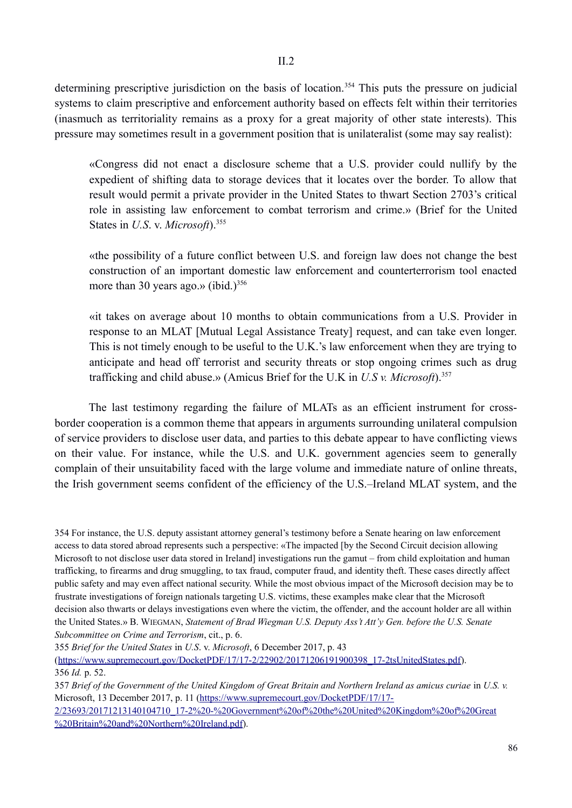determining prescriptive jurisdiction on the basis of location.<sup>354</sup> This puts the pressure on judicial systems to claim prescriptive and enforcement authority based on effects felt within their territories (inasmuch as territoriality remains as a proxy for a great majority of other state interests). This pressure may sometimes result in a government position that is unilateralist (some may say realist):

«Congress did not enact a disclosure scheme that a U.S. provider could nullify by the expedient of shifting data to storage devices that it locates over the border. To allow that result would permit a private provider in the United States to thwart Section 2703's critical role in assisting law enforcement to combat terrorism and crime.» (Brief for the United States in *U.S. v. Microsoft*).<sup>355</sup>

«the possibility of a future conflict between U.S. and foreign law does not change the best construction of an important domestic law enforcement and counterterrorism tool enacted more than 30 years ago.» (ibid.) $356$ 

«it takes on average about 10 months to obtain communications from a U.S. Provider in response to an MLAT [Mutual Legal Assistance Treaty] request, and can take even longer. This is not timely enough to be useful to the U.K.'s law enforcement when they are trying to anticipate and head off terrorist and security threats or stop ongoing crimes such as drug trafficking and child abuse.» (Amicus Brief for the U.K in *U.S v. Microsoft*).357

The last testimony regarding the failure of MLATs as an efficient instrument for crossborder cooperation is a common theme that appears in arguments surrounding unilateral compulsion of service providers to disclose user data, and parties to this debate appear to have conflicting views on their value. For instance, while the U.S. and U.K. government agencies seem to generally complain of their unsuitability faced with the large volume and immediate nature of online threats, the Irish government seems confident of the efficiency of the U.S.–Ireland MLAT system, and the

354 For instance, the U.S. deputy assistant attorney general's testimony before a Senate hearing on law enforcement access to data stored abroad represents such a perspective: «The impacted [by the Second Circuit decision allowing Microsoft to not disclose user data stored in Ireland] investigations run the gamut – from child exploitation and human trafficking, to firearms and drug smuggling, to tax fraud, computer fraud, and identity theft. These cases directly affect public safety and may even affect national security. While the most obvious impact of the Microsoft decision may be to frustrate investigations of foreign nationals targeting U.S. victims, these examples make clear that the Microsoft decision also thwarts or delays investigations even where the victim, the offender, and the account holder are all within the United States.» B. WIEGMAN, *Statement of Brad Wiegman U.S. Deputy Ass't Att'y Gen. before the U.S. Senate Subcommittee on Crime and Terrorism*, cit., p. 6.

355 *Brief for the United States* in *U.S*. v. *Microsoft*, 6 December 2017, p. 43

(https://www.supremecourt.gov/DocketPDF/17/17-2/22902/20171206191900398\_17-2tsUnitedStates.pdf). 356 *Id.* p. 52.

357 *Brief of the Government of the United Kingdom of Great Britain and Northern Ireland as amicus curiae* in *U.S. v.*  Microsoft, 13 December 2017, p. 11 (https://www.supremecourt.gov/DocketPDF/17/17-

2/23693/20171213140104710\_17-2%20-%20Government%20of%20the%20United%20Kingdom%20of%20Great %20Britain%20and%20Northern%20Ireland.pdf).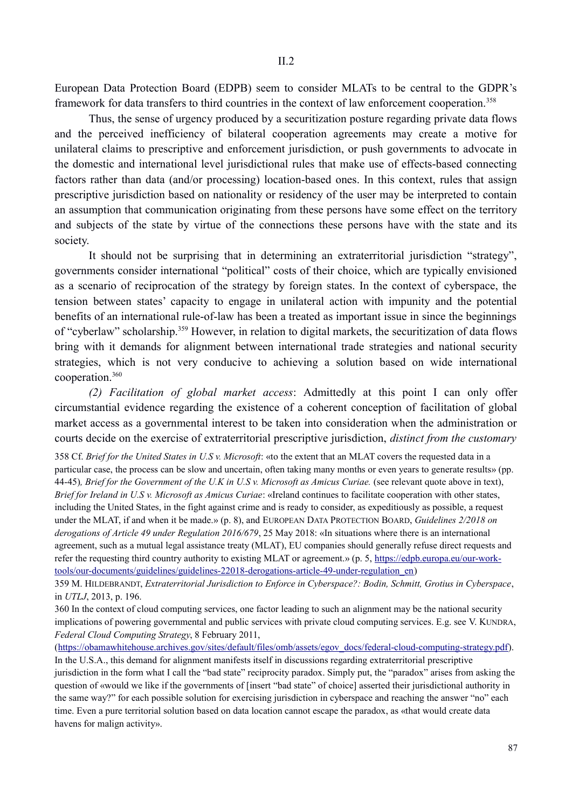European Data Protection Board (EDPB) seem to consider MLATs to be central to the GDPR's framework for data transfers to third countries in the context of law enforcement cooperation.<sup>358</sup>

Thus, the sense of urgency produced by a securitization posture regarding private data flows and the perceived inefficiency of bilateral cooperation agreements may create a motive for unilateral claims to prescriptive and enforcement jurisdiction, or push governments to advocate in the domestic and international level jurisdictional rules that make use of effects-based connecting factors rather than data (and/or processing) location-based ones. In this context, rules that assign prescriptive jurisdiction based on nationality or residency of the user may be interpreted to contain an assumption that communication originating from these persons have some effect on the territory and subjects of the state by virtue of the connections these persons have with the state and its society.

It should not be surprising that in determining an extraterritorial jurisdiction "strategy", governments consider international "political" costs of their choice, which are typically envisioned as a scenario of reciprocation of the strategy by foreign states. In the context of cyberspace, the tension between states' capacity to engage in unilateral action with impunity and the potential benefits of an international rule-of-law has been a treated as important issue in since the beginnings of "cyberlaw" scholarship.359 However, in relation to digital markets, the securitization of data flows bring with it demands for alignment between international trade strategies and national security strategies, which is not very conducive to achieving a solution based on wide international cooperation.360

*(2) Facilitation of global market access*: Admittedly at this point I can only offer circumstantial evidence regarding the existence of a coherent conception of facilitation of global market access as a governmental interest to be taken into consideration when the administration or courts decide on the exercise of extraterritorial prescriptive jurisdiction, *distinct from the customary*

358 Cf. *Brief for the United States in U.S v. Microsoft*: «to the extent that an MLAT covers the requested data in a particular case, the process can be slow and uncertain, often taking many months or even years to generate results» (pp. 44-45)*, Brief for the Government of the U.K in U.S v. Microsoft as Amicus Curiae.* (see relevant quote above in text), *Brief for Ireland in U.S v. Microsoft as Amicus Curiae*: «Ireland continues to facilitate cooperation with other states, including the United States, in the fight against crime and is ready to consider, as expeditiously as possible, a request under the MLAT, if and when it be made.» (p. 8), and EUROPEAN DATA PROTECTION BOARD, *Guidelines 2/2018 on derogations of Article 49 under Regulation 2016/679*, 25 May 2018: «In situations where there is an international agreement, such as a mutual legal assistance treaty (MLAT), EU companies should generally refuse direct requests and refer the requesting third country authority to existing MLAT or agreement.» (p. 5, https://edpb.europa.eu/our-worktools/our-documents/guidelines/guidelines-22018-derogations-article-49-under-regulation\_en)

359 M. HILDEBRANDT, *Extraterritorial Jurisdiction to Enforce in Cyberspace?: Bodin, Schmitt, Grotius in Cyberspace*, in *UTLJ*, 2013, p. 196.

360 In the context of cloud computing services, one factor leading to such an alignment may be the national security implications of powering governmental and public services with private cloud computing services. E.g. see V. KUNDRA, *Federal Cloud Computing Strategy*, 8 February 2011,

(https://obamawhitehouse.archives.gov/sites/default/files/omb/assets/egov\_docs/federal-cloud-computing-strategy.pdf). In the U.S.A., this demand for alignment manifests itself in discussions regarding extraterritorial prescriptive jurisdiction in the form what I call the "bad state" reciprocity paradox. Simply put, the "paradox" arises from asking the question of «would we like if the governments of [insert "bad state" of choice] asserted their jurisdictional authority in the same way?" for each possible solution for exercising jurisdiction in cyberspace and reaching the answer "no" each time. Even a pure territorial solution based on data location cannot escape the paradox, as «that would create data havens for malign activity».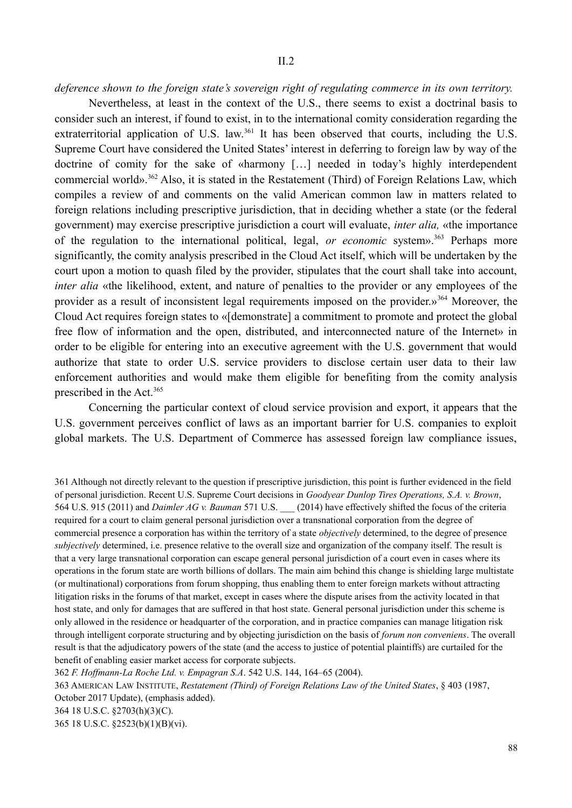*deference shown to the foreign state's sovereign right of regulating commerce in its own territory.*

Nevertheless, at least in the context of the U.S., there seems to exist a doctrinal basis to consider such an interest, if found to exist, in to the international comity consideration regarding the extraterritorial application of U.S. law.<sup>361</sup> It has been observed that courts, including the U.S. Supreme Court have considered the United States' interest in deferring to foreign law by way of the doctrine of comity for the sake of «harmony […] needed in today's highly interdependent commercial world».362 Also, it is stated in the Restatement (Third) of Foreign Relations Law, which compiles a review of and comments on the valid American common law in matters related to foreign relations including prescriptive jurisdiction, that in deciding whether a state (or the federal government) may exercise prescriptive jurisdiction a court will evaluate, *inter alia,* «the importance of the regulation to the international political, legal, *or economic* system».<sup>363</sup> Perhaps more significantly, the comity analysis prescribed in the Cloud Act itself, which will be undertaken by the court upon a motion to quash filed by the provider, stipulates that the court shall take into account, *inter alia* «the likelihood, extent, and nature of penalties to the provider or any employees of the provider as a result of inconsistent legal requirements imposed on the provider.»<sup>364</sup> Moreover, the Cloud Act requires foreign states to «[demonstrate] a commitment to promote and protect the global free flow of information and the open, distributed, and interconnected nature of the Internet» in order to be eligible for entering into an executive agreement with the U.S. government that would authorize that state to order U.S. service providers to disclose certain user data to their law enforcement authorities and would make them eligible for benefiting from the comity analysis prescribed in the Act.<sup>365</sup>

Concerning the particular context of cloud service provision and export, it appears that the U.S. government perceives conflict of laws as an important barrier for U.S. companies to exploit global markets. The U.S. Department of Commerce has assessed foreign law compliance issues,

361 Although not directly relevant to the question if prescriptive jurisdiction, this point is further evidenced in the field of personal jurisdiction. Recent U.S. Supreme Court decisions in *Goodyear Dunlop Tires Operations, S.A. v. Brown*, 564 U.S. 915 (2011) and *Daimler AG v. Bauman* 571 U.S. \_\_\_ (2014) have effectively shifted the focus of the criteria required for a court to claim general personal jurisdiction over a transnational corporation from the degree of commercial presence a corporation has within the territory of a state *objectively* determined, to the degree of presence *subjectively* determined, i.e. presence relative to the overall size and organization of the company itself. The result is that a very large transnational corporation can escape general personal jurisdiction of a court even in cases where its operations in the forum state are worth billions of dollars. The main aim behind this change is shielding large multistate (or multinational) corporations from forum shopping, thus enabling them to enter foreign markets without attracting litigation risks in the forums of that market, except in cases where the dispute arises from the activity located in that host state, and only for damages that are suffered in that host state. General personal jurisdiction under this scheme is only allowed in the residence or headquarter of the corporation, and in practice companies can manage litigation risk through intelligent corporate structuring and by objecting jurisdiction on the basis of *forum non conveniens*. The overall result is that the adjudicatory powers of the state (and the access to justice of potential plaintiffs) are curtailed for the benefit of enabling easier market access for corporate subjects.

362 *F. Hoffmann-La Roche Ltd. v. Empagran S.A*. 542 U.S. 144, 164–65 (2004). 363 AMERICAN LAW INSTITUTE, *Restatement (Third) of Foreign Relations Law of the United States*, § 403 (1987, October 2017 Update), (emphasis added).

364 18 U.S.C. §2703(h)(3)(C).

365 18 U.S.C. §2523(b)(1)(B)(vi).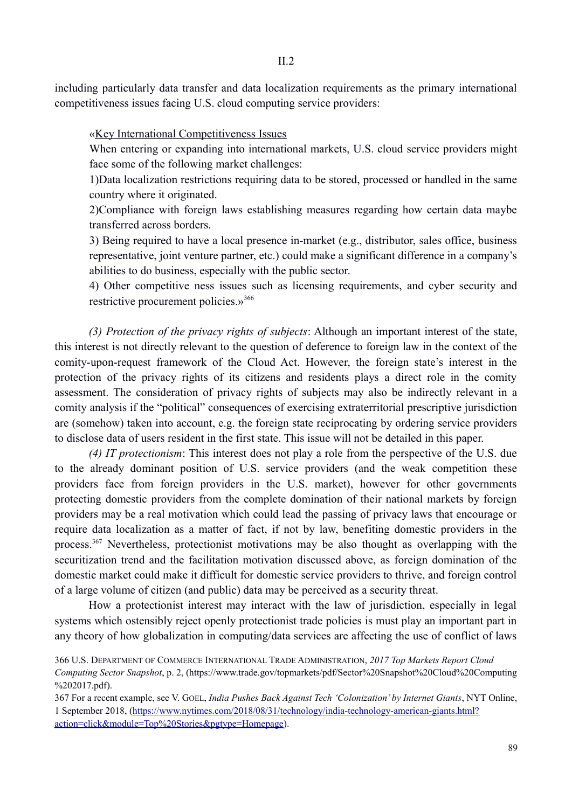including particularly data transfer and data localization requirements as the primary international competitiveness issues facing U.S. cloud computing service providers:

II $2$ 

«Key International Competitiveness Issues

When entering or expanding into international markets, U.S. cloud service providers might face some of the following market challenges:

1)Data localization restrictions requiring data to be stored, processed or handled in the same country where it originated.

2)Compliance with foreign laws establishing measures regarding how certain data maybe transferred across borders.

3) Being required to have a local presence in-market (e.g., distributor, sales office, business representative, joint venture partner, etc.) could make a significant difference in a company's abilities to do business, especially with the public sector.

4) Other competitive ness issues such as licensing requirements, and cyber security and restrictive procurement policies.»<sup>366</sup>

*(3) Protection of the privacy rights of subjects*: Although an important interest of the state, this interest is not directly relevant to the question of deference to foreign law in the context of the comity-upon-request framework of the Cloud Act. However, the foreign state's interest in the protection of the privacy rights of its citizens and residents plays a direct role in the comity assessment. The consideration of privacy rights of subjects may also be indirectly relevant in a comity analysis if the "political" consequences of exercising extraterritorial prescriptive jurisdiction are (somehow) taken into account, e.g. the foreign state reciprocating by ordering service providers to disclose data of users resident in the first state. This issue will not be detailed in this paper.

*(4) IT protectionism*: This interest does not play a role from the perspective of the U.S. due to the already dominant position of U.S. service providers (and the weak competition these providers face from foreign providers in the U.S. market), however for other governments protecting domestic providers from the complete domination of their national markets by foreign providers may be a real motivation which could lead the passing of privacy laws that encourage or require data localization as a matter of fact, if not by law, benefiting domestic providers in the process.<sup>367</sup> Nevertheless, protectionist motivations may be also thought as overlapping with the securitization trend and the facilitation motivation discussed above, as foreign domination of the domestic market could make it difficult for domestic service providers to thrive, and foreign control of a large volume of citizen (and public) data may be perceived as a security threat.

How a protectionist interest may interact with the law of jurisdiction, especially in legal systems which ostensibly reject openly protectionist trade policies is must play an important part in any theory of how globalization in computing/data services are affecting the use of conflict of laws

<sup>366</sup> U.S. DEPARTMENT OF COMMERCE INTERNATIONAL TRADE ADMINISTRATION, *2017 Top Markets Report Cloud Computing Sector Snapshot*, p. 2, (https://www.trade.gov/topmarkets/pdf/Sector%20Snapshot%20Cloud%20Computing %202017.pdf).

<sup>367</sup> For a recent example, see V. GOEL, *India Pushes Back Against Tech 'Colonization' by Internet Giants*, NYT Online, 1 September 2018, (https://www.nytimes.com/2018/08/31/technology/india-technology-american-giants.html? action=click&module=Top%20Stories&pgtype=Homepage).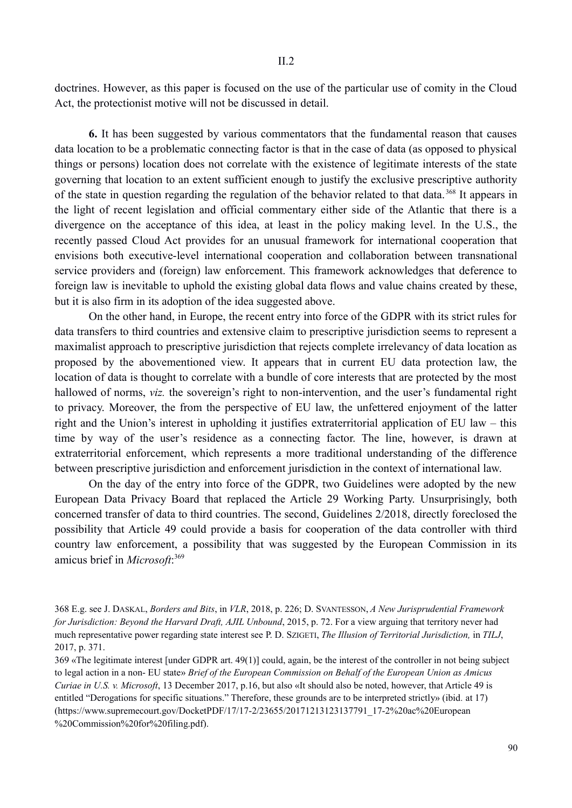doctrines. However, as this paper is focused on the use of the particular use of comity in the Cloud Act, the protectionist motive will not be discussed in detail.

**6.** It has been suggested by various commentators that the fundamental reason that causes data location to be a problematic connecting factor is that in the case of data (as opposed to physical things or persons) location does not correlate with the existence of legitimate interests of the state governing that location to an extent sufficient enough to justify the exclusive prescriptive authority of the state in question regarding the regulation of the behavior related to that data. 368 It appears in the light of recent legislation and official commentary either side of the Atlantic that there is a divergence on the acceptance of this idea, at least in the policy making level. In the U.S., the recently passed Cloud Act provides for an unusual framework for international cooperation that envisions both executive-level international cooperation and collaboration between transnational service providers and (foreign) law enforcement. This framework acknowledges that deference to foreign law is inevitable to uphold the existing global data flows and value chains created by these, but it is also firm in its adoption of the idea suggested above.

On the other hand, in Europe, the recent entry into force of the GDPR with its strict rules for data transfers to third countries and extensive claim to prescriptive jurisdiction seems to represent a maximalist approach to prescriptive jurisdiction that rejects complete irrelevancy of data location as proposed by the abovementioned view. It appears that in current EU data protection law, the location of data is thought to correlate with a bundle of core interests that are protected by the most hallowed of norms, *viz.* the sovereign's right to non-intervention, and the user's fundamental right to privacy. Moreover, the from the perspective of EU law, the unfettered enjoyment of the latter right and the Union's interest in upholding it justifies extraterritorial application of EU law – this time by way of the user's residence as a connecting factor. The line, however, is drawn at extraterritorial enforcement, which represents a more traditional understanding of the difference between prescriptive jurisdiction and enforcement jurisdiction in the context of international law.

On the day of the entry into force of the GDPR, two Guidelines were adopted by the new European Data Privacy Board that replaced the Article 29 Working Party. Unsurprisingly, both concerned transfer of data to third countries. The second, Guidelines 2/2018, directly foreclosed the possibility that Article 49 could provide a basis for cooperation of the data controller with third country law enforcement, a possibility that was suggested by the European Commission in its amicus brief in *Microsoft*: 369

<sup>368</sup> E.g. see J. DASKAL, *Borders and Bits*, in *VLR*, 2018, p. 226; D. SVANTESSON, *A New Jurisprudential Framework for Jurisdiction: Beyond the Harvard Draft, AJIL Unbound*, 2015, p. 72. For a view arguing that territory never had much representative power regarding state interest see P. D. SZIGETI, *The Illusion of Territorial Jurisdiction,* in *TILJ*, 2017, p. 371.

<sup>369 «</sup>The legitimate interest [under GDPR art. 49(1)] could, again, be the interest of the controller in not being subject to legal action in a non- EU state» *Brief of the European Commission on Behalf of the European Union as Amicus Curiae in U.S. v. Microsoft*, 13 December 2017, p.16, but also «It should also be noted, however, that Article 49 is entitled "Derogations for specific situations." Therefore, these grounds are to be interpreted strictly» (ibid*.* at 17) (https://www.supremecourt.gov/DocketPDF/17/17-2/23655/20171213123137791\_17-2%20ac%20European %20Commission%20for%20filing.pdf).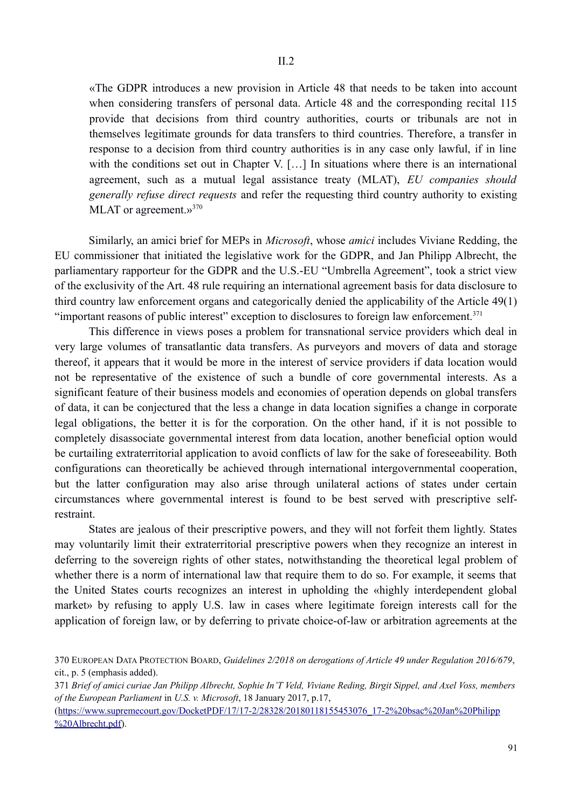«The GDPR introduces a new provision in Article 48 that needs to be taken into account when considering transfers of personal data. Article 48 and the corresponding recital 115 provide that decisions from third country authorities, courts or tribunals are not in themselves legitimate grounds for data transfers to third countries. Therefore, a transfer in response to a decision from third country authorities is in any case only lawful, if in line with the conditions set out in Chapter V. [...] In situations where there is an international agreement, such as a mutual legal assistance treaty (MLAT), *EU companies should generally refuse direct requests* and refer the requesting third country authority to existing MLAT or agreement.»<sup>370</sup>

Similarly, an amici brief for MEPs in *Microsoft*, whose *amici* includes Viviane Redding, the EU commissioner that initiated the legislative work for the GDPR, and Jan Philipp Albrecht, the parliamentary rapporteur for the GDPR and the U.S.-EU "Umbrella Agreement", took a strict view of the exclusivity of the Art. 48 rule requiring an international agreement basis for data disclosure to third country law enforcement organs and categorically denied the applicability of the Article 49(1) "important reasons of public interest" exception to disclosures to foreign law enforcement.<sup>371</sup>

This difference in views poses a problem for transnational service providers which deal in very large volumes of transatlantic data transfers. As purveyors and movers of data and storage thereof, it appears that it would be more in the interest of service providers if data location would not be representative of the existence of such a bundle of core governmental interests. As a significant feature of their business models and economies of operation depends on global transfers of data, it can be conjectured that the less a change in data location signifies a change in corporate legal obligations, the better it is for the corporation. On the other hand, if it is not possible to completely disassociate governmental interest from data location, another beneficial option would be curtailing extraterritorial application to avoid conflicts of law for the sake of foreseeability. Both configurations can theoretically be achieved through international intergovernmental cooperation, but the latter configuration may also arise through unilateral actions of states under certain circumstances where governmental interest is found to be best served with prescriptive selfrestraint.

States are jealous of their prescriptive powers, and they will not forfeit them lightly. States may voluntarily limit their extraterritorial prescriptive powers when they recognize an interest in deferring to the sovereign rights of other states, notwithstanding the theoretical legal problem of whether there is a norm of international law that require them to do so. For example, it seems that the United States courts recognizes an interest in upholding the «highly interdependent global market» by refusing to apply U.S. law in cases where legitimate foreign interests call for the application of foreign law, or by deferring to private choice-of-law or arbitration agreements at the

(https://www.supremecourt.gov/DocketPDF/17/17-2/28328/20180118155453076\_17-2%20bsac%20Jan%20Philipp %20Albrecht.pdf).

<sup>370</sup> EUROPEAN DATA PROTECTION BOARD, *Guidelines 2/2018 on derogations of Article 49 under Regulation 2016/679*, cit., p. 5 (emphasis added).

<sup>371</sup> *Brief of amici curiae Jan Philipp Albrecht, Sophie In'T Veld, Viviane Reding, Birgit Sippel, and Axel Voss, members of the European Parliament* in *U.S. v. Microsoft*, 18 January 2017, p.17,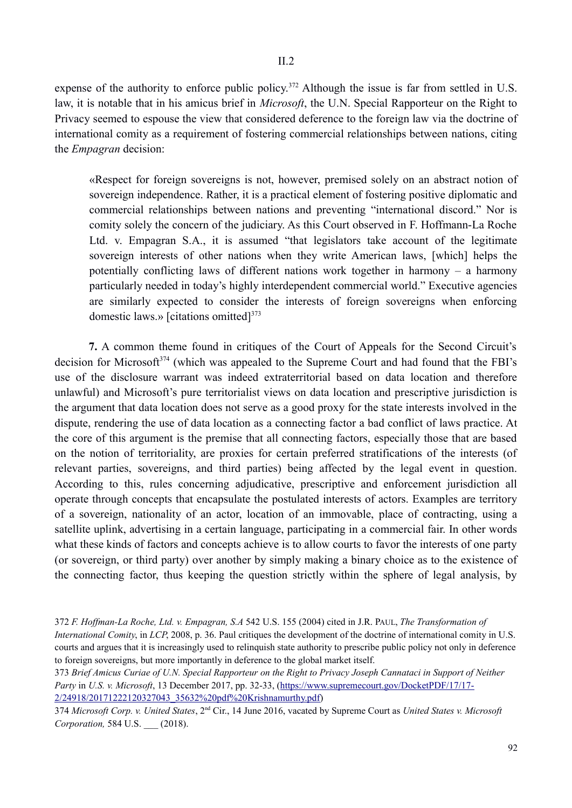expense of the authority to enforce public policy.<sup>372</sup> Although the issue is far from settled in U.S. law, it is notable that in his amicus brief in *Microsoft*, the U.N. Special Rapporteur on the Right to Privacy seemed to espouse the view that considered deference to the foreign law via the doctrine of international comity as a requirement of fostering commercial relationships between nations, citing the *Empagran* decision:

«Respect for foreign sovereigns is not, however, premised solely on an abstract notion of sovereign independence. Rather, it is a practical element of fostering positive diplomatic and commercial relationships between nations and preventing "international discord." Nor is comity solely the concern of the judiciary. As this Court observed in F. Hoffmann-La Roche Ltd. v. Empagran S.A., it is assumed "that legislators take account of the legitimate sovereign interests of other nations when they write American laws, [which] helps the potentially conflicting laws of different nations work together in harmony – a harmony particularly needed in today's highly interdependent commercial world." Executive agencies are similarly expected to consider the interests of foreign sovereigns when enforcing domestic laws.» [citations omitted] $373$ 

**7.** A common theme found in critiques of the Court of Appeals for the Second Circuit's decision for Microsoft<sup>374</sup> (which was appealed to the Supreme Court and had found that the FBI's use of the disclosure warrant was indeed extraterritorial based on data location and therefore unlawful) and Microsoft's pure territorialist views on data location and prescriptive jurisdiction is the argument that data location does not serve as a good proxy for the state interests involved in the dispute, rendering the use of data location as a connecting factor a bad conflict of laws practice. At the core of this argument is the premise that all connecting factors, especially those that are based on the notion of territoriality, are proxies for certain preferred stratifications of the interests (of relevant parties, sovereigns, and third parties) being affected by the legal event in question. According to this, rules concerning adjudicative, prescriptive and enforcement jurisdiction all operate through concepts that encapsulate the postulated interests of actors. Examples are territory of a sovereign, nationality of an actor, location of an immovable, place of contracting, using a satellite uplink, advertising in a certain language, participating in a commercial fair. In other words what these kinds of factors and concepts achieve is to allow courts to favor the interests of one party (or sovereign, or third party) over another by simply making a binary choice as to the existence of the connecting factor, thus keeping the question strictly within the sphere of legal analysis, by

<sup>372</sup> *F. Hoffman-La Roche, Ltd. v. Empagran, S.A* 542 U.S. 155 (2004) cited in J.R. PAUL, *The Transformation of International Comity*, in *LCP*, 2008, p. 36. Paul critiques the development of the doctrine of international comity in U.S. courts and argues that it is increasingly used to relinquish state authority to prescribe public policy not only in deference to foreign sovereigns, but more importantly in deference to the global market itself.

<sup>373</sup> *Brief Amicus Curiae of U.N. Special Rapporteur on the Right to Privacy Joseph Cannataci in Support of Neither Party* in *U.S. v. Microsoft*, 13 December 2017, pp. 32-33, (https://www.supremecourt.gov/DocketPDF/17/17- 2/24918/20171222120327043\_35632%20pdf%20Krishnamurthy.pdf)

<sup>374</sup> *Microsoft Corp. v. United States*, 2nd Cir., 14 June 2016, vacated by Supreme Court as *United States v. Microsoft Corporation,* 584 U.S. \_\_\_ (2018).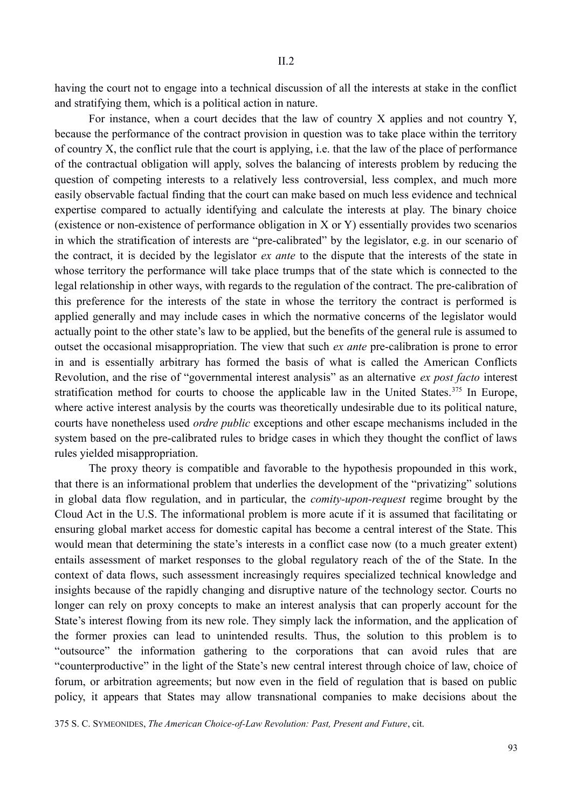having the court not to engage into a technical discussion of all the interests at stake in the conflict and stratifying them, which is a political action in nature.

For instance, when a court decides that the law of country X applies and not country Y, because the performance of the contract provision in question was to take place within the territory of country X, the conflict rule that the court is applying, i.e. that the law of the place of performance of the contractual obligation will apply, solves the balancing of interests problem by reducing the question of competing interests to a relatively less controversial, less complex, and much more easily observable factual finding that the court can make based on much less evidence and technical expertise compared to actually identifying and calculate the interests at play. The binary choice (existence or non-existence of performance obligation in X or Y) essentially provides two scenarios in which the stratification of interests are "pre-calibrated" by the legislator, e.g. in our scenario of the contract, it is decided by the legislator *ex ante* to the dispute that the interests of the state in whose territory the performance will take place trumps that of the state which is connected to the legal relationship in other ways, with regards to the regulation of the contract. The pre-calibration of this preference for the interests of the state in whose the territory the contract is performed is applied generally and may include cases in which the normative concerns of the legislator would actually point to the other state's law to be applied, but the benefits of the general rule is assumed to outset the occasional misappropriation. The view that such *ex ante* pre-calibration is prone to error in and is essentially arbitrary has formed the basis of what is called the American Conflicts Revolution, and the rise of "governmental interest analysis" as an alternative *ex post facto* interest stratification method for courts to choose the applicable law in the United States.<sup>375</sup> In Europe, where active interest analysis by the courts was theoretically undesirable due to its political nature, courts have nonetheless used *ordre public* exceptions and other escape mechanisms included in the system based on the pre-calibrated rules to bridge cases in which they thought the conflict of laws rules yielded misappropriation.

The proxy theory is compatible and favorable to the hypothesis propounded in this work, that there is an informational problem that underlies the development of the "privatizing" solutions in global data flow regulation, and in particular, the *comity-upon-request* regime brought by the Cloud Act in the U.S. The informational problem is more acute if it is assumed that facilitating or ensuring global market access for domestic capital has become a central interest of the State. This would mean that determining the state's interests in a conflict case now (to a much greater extent) entails assessment of market responses to the global regulatory reach of the of the State. In the context of data flows, such assessment increasingly requires specialized technical knowledge and insights because of the rapidly changing and disruptive nature of the technology sector. Courts no longer can rely on proxy concepts to make an interest analysis that can properly account for the State's interest flowing from its new role. They simply lack the information, and the application of the former proxies can lead to unintended results. Thus, the solution to this problem is to "outsource" the information gathering to the corporations that can avoid rules that are "counterproductive" in the light of the State's new central interest through choice of law, choice of forum, or arbitration agreements; but now even in the field of regulation that is based on public policy, it appears that States may allow transnational companies to make decisions about the

375 S. C. SYMEONIDES, *The American Choice-of-Law Revolution: Past, Present and Future*, cit.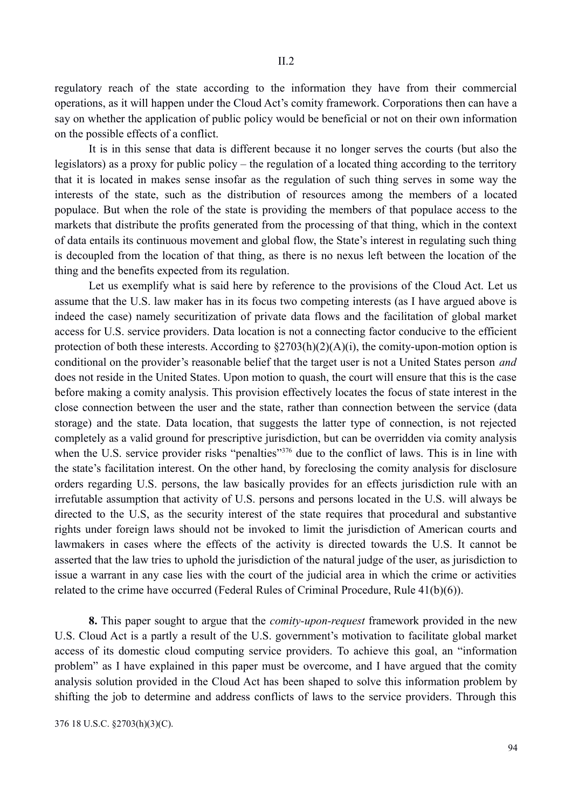regulatory reach of the state according to the information they have from their commercial operations, as it will happen under the Cloud Act's comity framework. Corporations then can have a say on whether the application of public policy would be beneficial or not on their own information on the possible effects of a conflict.

It is in this sense that data is different because it no longer serves the courts (but also the legislators) as a proxy for public policy – the regulation of a located thing according to the territory that it is located in makes sense insofar as the regulation of such thing serves in some way the interests of the state, such as the distribution of resources among the members of a located populace. But when the role of the state is providing the members of that populace access to the markets that distribute the profits generated from the processing of that thing, which in the context of data entails its continuous movement and global flow, the State's interest in regulating such thing is decoupled from the location of that thing, as there is no nexus left between the location of the thing and the benefits expected from its regulation.

Let us exemplify what is said here by reference to the provisions of the Cloud Act. Let us assume that the U.S. law maker has in its focus two competing interests (as I have argued above is indeed the case) namely securitization of private data flows and the facilitation of global market access for U.S. service providers. Data location is not a connecting factor conducive to the efficient protection of both these interests. According to  $\S2703(h)(2)(A)(i)$ , the comity-upon-motion option is conditional on the provider's reasonable belief that the target user is not a United States person *and* does not reside in the United States. Upon motion to quash, the court will ensure that this is the case before making a comity analysis. This provision effectively locates the focus of state interest in the close connection between the user and the state, rather than connection between the service (data storage) and the state. Data location, that suggests the latter type of connection, is not rejected completely as a valid ground for prescriptive jurisdiction, but can be overridden via comity analysis when the U.S. service provider risks "penalties"<sup>376</sup> due to the conflict of laws. This is in line with the state's facilitation interest. On the other hand, by foreclosing the comity analysis for disclosure orders regarding U.S. persons, the law basically provides for an effects jurisdiction rule with an irrefutable assumption that activity of U.S. persons and persons located in the U.S. will always be directed to the U.S, as the security interest of the state requires that procedural and substantive rights under foreign laws should not be invoked to limit the jurisdiction of American courts and lawmakers in cases where the effects of the activity is directed towards the U.S. It cannot be asserted that the law tries to uphold the jurisdiction of the natural judge of the user, as jurisdiction to issue a warrant in any case lies with the court of the judicial area in which the crime or activities related to the crime have occurred (Federal Rules of Criminal Procedure, Rule 41(b)(6)).

**8.** This paper sought to argue that the *comity-upon-request* framework provided in the new U.S. Cloud Act is a partly a result of the U.S. government's motivation to facilitate global market access of its domestic cloud computing service providers. To achieve this goal, an "information problem" as I have explained in this paper must be overcome, and I have argued that the comity analysis solution provided in the Cloud Act has been shaped to solve this information problem by shifting the job to determine and address conflicts of laws to the service providers. Through this

376 18 U.S.C. §2703(h)(3)(C).